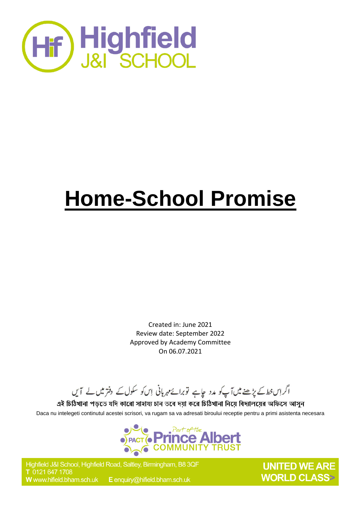

# **Home-School Promise**

Created in: June 2021 Review date: September 2022 Approved by Academy Committee On 06.07.2021

اگر اِس خط کے یڑھنے میں آپکو مدد جاہے توبرائے مہربانی اِس کو سکول کے دفتر میں لے آیں

এই চিঠিখানা পড়তে যদি কারো সাহায্য চান তবে দয়া করে চিঠিখানা নিয়ে বিদ্যালয়ের অফিসে আসুন

Daca nu intelegeti continutul acestei scrisori, va rugam sa va adresati biroului receptie pentru a primi asistenta necesara



Highfield J&I School, Highfield Road, Saltley, Birmingham, B8 3QF T 0121 647 1708 W www.hifield.bham.sch.uk E enquiry@hifield.bham.sch.uk

**UNITED WE ARE WORLD CLASS>**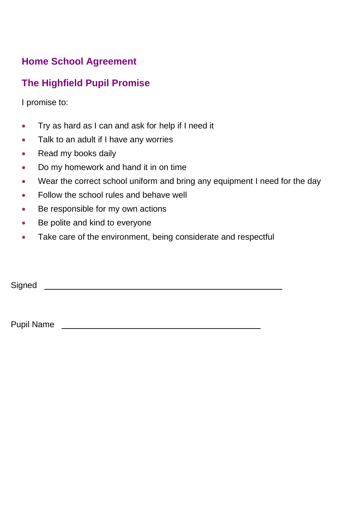## **Home School Agreement**

#### **The Highfield Pupil Promise**

I promise to:

- Try as hard as I can and ask for help if I need it
- Talk to an adult if I have any worries
- Read my books daily
- Do my homework and hand it in on time
- Wear the correct school uniform and bring any equipment I need for the day
- Follow the school rules and behave well
- Be responsible for my own actions
- Be polite and kind to everyone
- Take care of the environment, being considerate and respectful

Signed

Pupil Name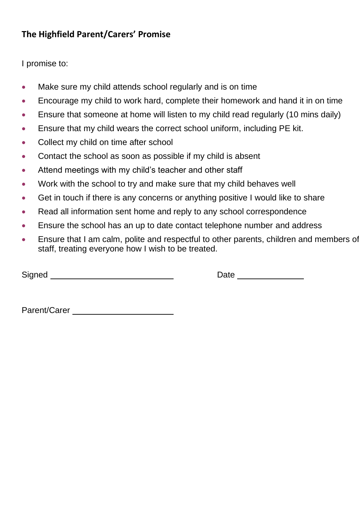#### **The Highfield Parent/Carers' Promise**

I promise to:

- Make sure my child attends school regularly and is on time
- Encourage my child to work hard, complete their homework and hand it in on time
- Ensure that someone at home will listen to my child read regularly (10 mins daily)
- Ensure that my child wears the correct school uniform, including PE kit.
- Collect my child on time after school
- Contact the school as soon as possible if my child is absent
- Attend meetings with my child's teacher and other staff
- Work with the school to try and make sure that my child behaves well
- Get in touch if there is any concerns or anything positive I would like to share
- Read all information sent home and reply to any school correspondence
- Ensure the school has an up to date contact telephone number and address
- Ensure that I am calm, polite and respectful to other parents, children and members of staff, treating everyone how I wish to be treated.

Signed Date

Parent/Carer
<br>
<u>Parent/Carer</u>